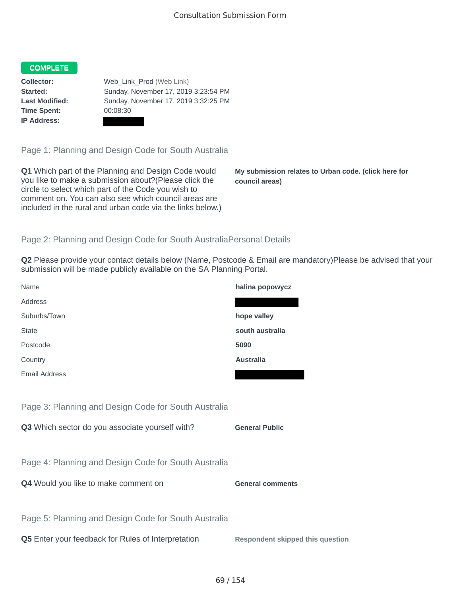## COMPLETE

**Time Spent:** 00:08:30 **IP Address:**

**Collector:** Web\_Link\_Prod (Web Link) **Started:** Sunday, November 17, 2019 3:23:54 PM **Last Modified:** Sunday, November 17, 2019 3:32:25 PM

Page 1: Planning and Design Code for South Australia

**Q1** Which part of the Planning and Design Code would you like to make a submission about?(Please click the circle to select which part of the Code you wish to comment on. You can also see which council areas are included in the rural and urban code via the links below.)

**My submission relates to Urban code. (click here for council areas)**

## Page 2: Planning and Design Code for South AustraliaPersonal Details

**Q2** Please provide your contact details below (Name, Postcode & Email are mandatory)Please be advised that your submission will be made publicly available on the SA Planning Portal.

| Name                                                 | halina popowycz                         |
|------------------------------------------------------|-----------------------------------------|
| Address                                              |                                         |
| Suburbs/Town                                         | hope valley                             |
| <b>State</b>                                         | south australia                         |
| Postcode                                             | 5090                                    |
| Country                                              | <b>Australia</b>                        |
| <b>Email Address</b>                                 |                                         |
|                                                      |                                         |
| Page 3: Planning and Design Code for South Australia |                                         |
| Q3 Which sector do you associate yourself with?      | <b>General Public</b>                   |
|                                                      |                                         |
| Page 4: Planning and Design Code for South Australia |                                         |
| Q4 Would you like to make comment on                 | <b>General comments</b>                 |
|                                                      |                                         |
| Page 5: Planning and Design Code for South Australia |                                         |
| Q5 Enter your feedback for Rules of Interpretation   | <b>Respondent skipped this question</b> |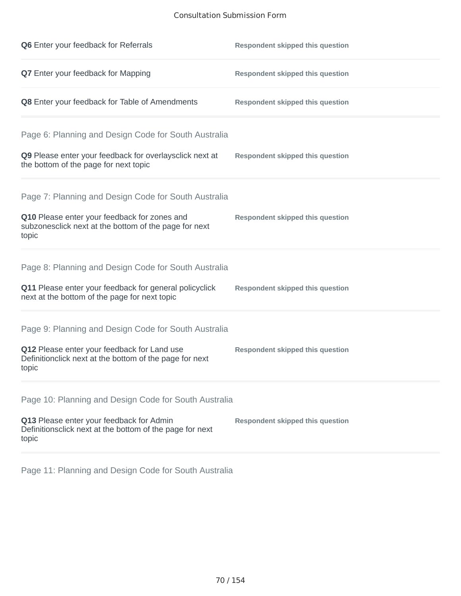## Consultation Submission Form

| Q6 Enter your feedback for Referrals                                                                            | <b>Respondent skipped this question</b> |
|-----------------------------------------------------------------------------------------------------------------|-----------------------------------------|
| Q7 Enter your feedback for Mapping                                                                              | <b>Respondent skipped this question</b> |
| Q8 Enter your feedback for Table of Amendments                                                                  | <b>Respondent skipped this question</b> |
| Page 6: Planning and Design Code for South Australia                                                            |                                         |
| Q9 Please enter your feedback for overlaysclick next at<br>the bottom of the page for next topic                | <b>Respondent skipped this question</b> |
| Page 7: Planning and Design Code for South Australia                                                            |                                         |
| Q10 Please enter your feedback for zones and<br>subzonesclick next at the bottom of the page for next<br>topic  | <b>Respondent skipped this question</b> |
| Page 8: Planning and Design Code for South Australia                                                            |                                         |
| Q11 Please enter your feedback for general policyclick<br>next at the bottom of the page for next topic         | <b>Respondent skipped this question</b> |
| Page 9: Planning and Design Code for South Australia                                                            |                                         |
| Q12 Please enter your feedback for Land use<br>Definitionclick next at the bottom of the page for next<br>topic | <b>Respondent skipped this question</b> |
| Page 10: Planning and Design Code for South Australia                                                           |                                         |
| Q13 Please enter your feedback for Admin<br>Definitionsclick next at the bottom of the page for next<br>topic   | <b>Respondent skipped this question</b> |

Page 11: Planning and Design Code for South Australia